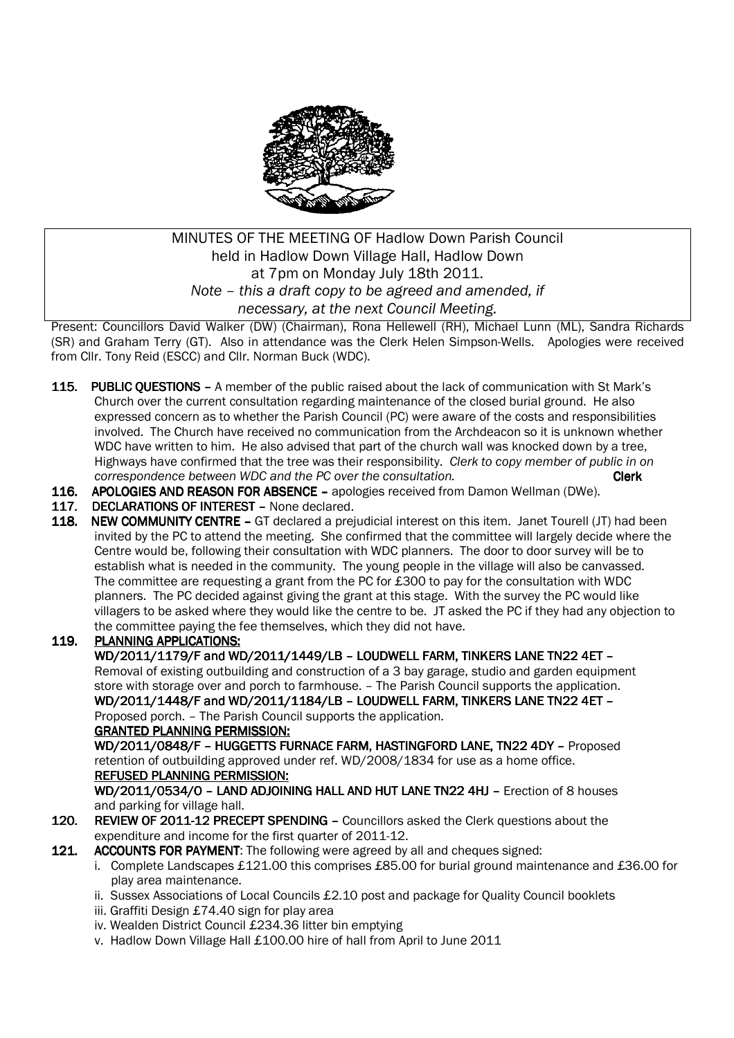

# MINUTES OF THE MEETING OF Hadlow Down Parish Council held in Hadlow Down Village Hall, Hadlow Down at 7pm on Monday July 18th 2011. *Note – this a draft copy to be agreed and amended, if necessary, at the next Council Meeting.*

Present: Councillors David Walker (DW) (Chairman), Rona Hellewell (RH), Michael Lunn (ML), Sandra Richards (SR) and Graham Terry (GT). Also in attendance was the Clerk Helen Simpson-Wells. Apologies were received from Cllr. Tony Reid (ESCC) and Cllr. Norman Buck (WDC).

- 115. PUBLIC OUESTIONS A member of the public raised about the lack of communication with St Mark's Church over the current consultation regarding maintenance of the closed burial ground. He also expressed concern as to whether the Parish Council (PC) were aware of the costs and responsibilities involved. The Church have received no communication from the Archdeacon so it is unknown whether WDC have written to him. He also advised that part of the church wall was knocked down by a tree, Highways have confirmed that the tree was their responsibility. *Clerk to copy member of public in on correspondence between WDC and the PC over the consultation.* **Clerk Clerk**
- 116. APOLOGIES AND REASON FOR ABSENCE apologies received from Damon Wellman (DWe).
- 117. DECLARATIONS OF INTEREST None declared.
- 118. NEW COMMUNITY CENTRE GT declared a prejudicial interest on this item. Janet Tourell (JT) had been invited by the PC to attend the meeting. She confirmed that the committee will largely decide where the Centre would be, following their consultation with WDC planners. The door to door survey will be to establish what is needed in the community. The young people in the village will also be canvassed. The committee are requesting a grant from the PC for £300 to pay for the consultation with WDC planners. The PC decided against giving the grant at this stage. With the survey the PC would like villagers to be asked where they would like the centre to be. JT asked the PC if they had any objection to the committee paying the fee themselves, which they did not have.

## 119. PLANNING APPLICATIONS:

WD/2011/1179/F and WD/2011/1449/LB - LOUDWELL FARM, TINKERS LANE TN22 4ET - Removal of existing outbuilding and construction of a 3 bay garage, studio and garden equipment store with storage over and porch to farmhouse. – The Parish Council supports the application. WD/2011/1448/F and WD/2011/1184/LB – LOUDWELL FARM, TINKERS LANE TN22 4ET -Proposed porch. – The Parish Council supports the application.

#### **GRANTED PLANNING PERMISSION:**

WD/2011/0848/F - HUGGETTS FURNACE FARM, HASTINGFORD LANE, TN22 4DY - Proposed retention of outbuilding approved under ref. WD/2008/1834 for use as a home office. REFUSED PLANNING PERMISSION:

WD/2011/0534/O – LAND ADJOINING HALL AND HUT LANE TN22 4HJ – Erection of 8 houses and parking for village hall.

- 120. REVIEW OF 2011-12 PRECEPT SPENDING Councillors asked the Clerk questions about the expenditure and income for the first quarter of 2011-12.
- 121. ACCOUNTS FOR PAYMENT: The following were agreed by all and cheques signed:
	- i. Complete Landscapes £121.00 this comprises £85.00 for burial ground maintenance and £36.00 for play area maintenance.
	- ii. Sussex Associations of Local Councils £2.10 post and package for Quality Council booklets
	- iii. Graffiti Design £74.40 sign for play area
	- iv. Wealden District Council £234.36 litter bin emptying
	- v. Hadlow Down Village Hall £100.00 hire of hall from April to June 2011